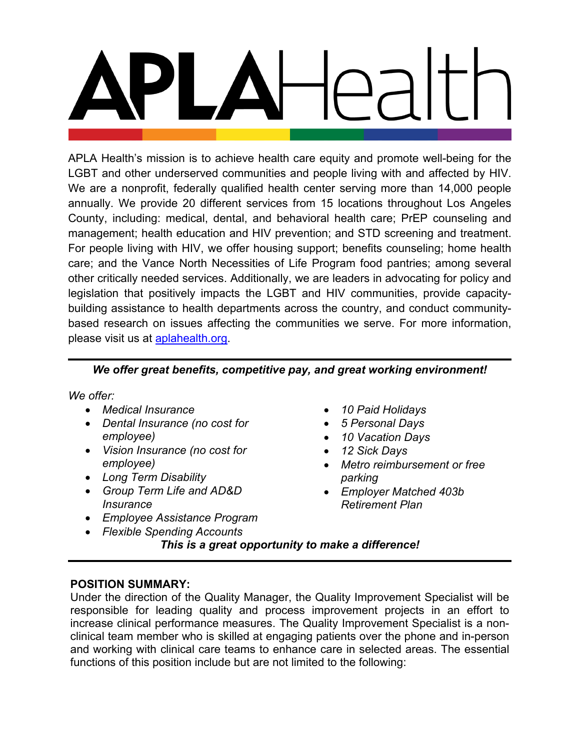APLA Health's mission is to achieve health care equity and promote well-being for the LGBT and other underserved communities and people living with and affected by HIV. We are a nonprofit, federally qualified health center serving more than 14,000 people annually. We provide 20 different services from 15 locations throughout Los Angeles County, including: medical, dental, and behavioral health care; PrEP counseling and management; health education and HIV prevention; and STD screening and treatment. For people living with HIV, we offer housing support; benefits counseling; home health care; and the Vance North Necessities of Life Program food pantries; among several other critically needed services. Additionally, we are leaders in advocating for policy and legislation that positively impacts the LGBT and HIV communities, provide capacitybuilding assistance to health departments across the country, and conduct communitybased research on issues affecting the communities we serve. For more information, please visit us at **aplahealth.org**.

## *We offer great benefits, competitive pay, and great working environment!*

*We offer:*

- *Medical Insurance*
- *Dental Insurance (no cost for employee)*
- *Vision Insurance (no cost for employee)*
- *Long Term Disability*
- *Group Term Life and AD&D Insurance*
- *Employee Assistance Program*
- *Flexible Spending Accounts*
- *10 Paid Holidays*
- *5 Personal Days*
- *10 Vacation Days*
- *12 Sick Days*
- *Metro reimbursement or free parking*
- *Employer Matched 403b Retirement Plan*

*This is a great opportunity to make a difference!*

## **POSITION SUMMARY:**

Under the direction of the Quality Manager, the Quality Improvement Specialist will be responsible for leading quality and process improvement projects in an effort to increase clinical performance measures. The Quality Improvement Specialist is a nonclinical team member who is skilled at engaging patients over the phone and in-person and working with clinical care teams to enhance care in selected areas. The essential functions of this position include but are not limited to the following: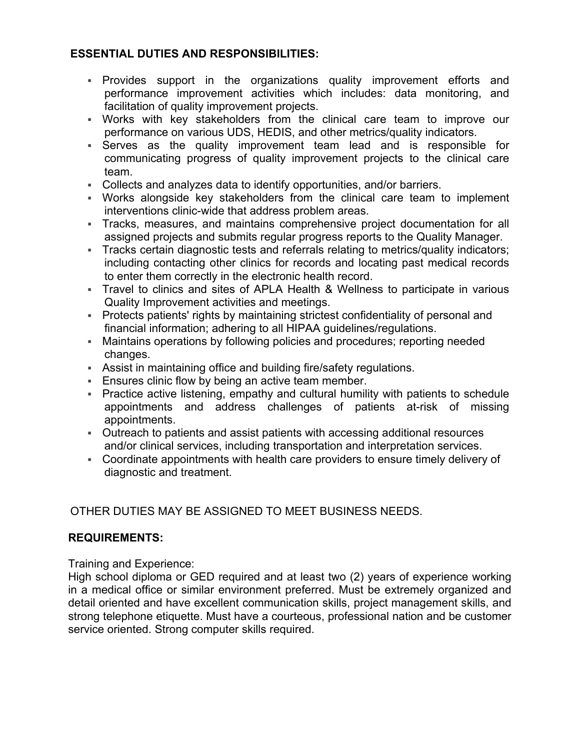## **ESSENTIAL DUTIES AND RESPONSIBILITIES:**

- Provides support in the organizations quality improvement efforts and performance improvement activities which includes: data monitoring, and facilitation of quality improvement projects.
- Works with key stakeholders from the clinical care team to improve our performance on various UDS, HEDIS, and other metrics/quality indicators.
- Serves as the quality improvement team lead and is responsible for communicating progress of quality improvement projects to the clinical care team.
- Collects and analyzes data to identify opportunities, and/or barriers.
- Works alongside key stakeholders from the clinical care team to implement interventions clinic-wide that address problem areas.
- Tracks, measures, and maintains comprehensive project documentation for all assigned projects and submits regular progress reports to the Quality Manager.
- Tracks certain diagnostic tests and referrals relating to metrics/quality indicators; including contacting other clinics for records and locating past medical records to enter them correctly in the electronic health record.
- Travel to clinics and sites of APLA Health & Wellness to participate in various Quality Improvement activities and meetings.
- Protects patients' rights by maintaining strictest confidentiality of personal and financial information; adhering to all HIPAA guidelines/regulations.
- Maintains operations by following policies and procedures; reporting needed changes.
- Assist in maintaining office and building fire/safety regulations.
- **Ensures clinic flow by being an active team member.**
- Practice active listening, empathy and cultural humility with patients to schedule appointments and address challenges of patients at-risk of missing appointments.
- Outreach to patients and assist patients with accessing additional resources and/or clinical services, including transportation and interpretation services.
- Coordinate appointments with health care providers to ensure timely delivery of diagnostic and treatment.

# OTHER DUTIES MAY BE ASSIGNED TO MEET BUSINESS NEEDS.

## **REQUIREMENTS:**

Training and Experience:

High school diploma or GED required and at least two (2) years of experience working in a medical office or similar environment preferred. Must be extremely organized and detail oriented and have excellent communication skills, project management skills, and strong telephone etiquette. Must have a courteous, professional nation and be customer service oriented. Strong computer skills required.